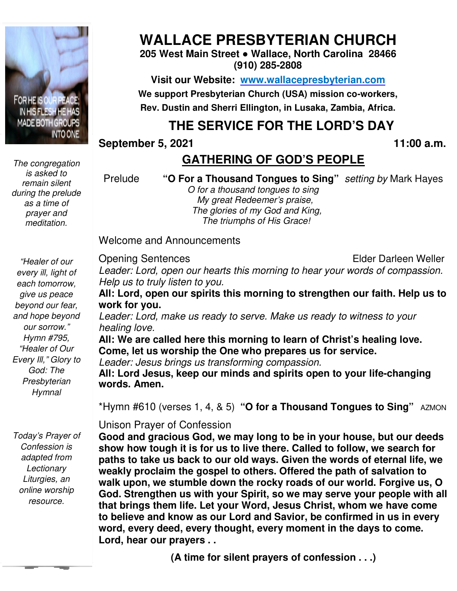

*The congregation is asked to remain silent during the prelude as a time of prayer and meditation.* 

# **WALLACE PRESBYTERIAN CHURCH**

**205 West Main Street ● Wallace, North Carolina 28466 (910) 285-2808** 

**Visit our Website: www.wallacepresbyterian.com** We support Presbyterian Church (USA) mission co-workers, **Rev. Dustin and Sherri Ellington, in Lusaka, Sherri Ellington, Lusaka, Zambia, Africa.** 

## **THE SERVICE FOR THE LORD'S DAY**

**September 5, 2021** 

**, 11:00 a.m**

### **GATHERING OF GOD'S PEOPLE**

Prelude **"O For a Thousand Tongues to Sing"** *setting by* Mark Hayes

 *O for a thousand tongues to sing My great Redeemer's praise, O for a thousand tongues to sing<br>My great Redeemer's praise,<br>The glories of my God and King, The triumphs of His Grace!*

Welcome and Announcements and Announcements

Opening Sentences

Elder Darleen Weller

*"Healer of our every ill, light of each tomorrow, give us peace beyond our fear, and hope beyond our sorrow." Hymn #795, "Healer of Our Every Ill," Glory to God: The Presbyterian Hymnal* 

*Today's Prayer of Confession is adapted from Lectionary Liturgies, an online worship resource.* 

*Leader: Lord, open our hearts this morning to hear your words of compassion. Help us to truly listen to you.*

**All: Lord, open our spirits this morning to strengthen our faith. Help us to work for you.**  *er: Lord, open our hearts this morning to hear us to truly listen to you.*<br>**.ord, open our spirits this morning to strengtor you.**<br>*er: Lord, make us ready to serve. Make us ready.* 

*Leader: Lord, make us ready to serve. Make us ready to witness to your healing love.* 

**All: We are called here this morning to learn of Christ's healing love. Come, let us worship the One who prepares us for service.** All: We are called here this morning to learn of Christ's healing love.<br>Come, let us worship the One who prepares us for service.<br>*Leader: Jesus brings us transforming compassion.*<br>All: Lord Jesus, keep our minds and spiri

*Leader: Jesus brings us transforming compassion.*

**words. Amen.** 

\*Hymn #610 (verses 1, 4, & 5) "O for a Thousand Tongues to Sing" AZMON

Unison Prayer of Confession Unison Prayer of

**Good and gracious God, we may long to be in your house, but our deeds show how tough it is for us to live there. Called to follow, we search for paths to take us back to our old ways. Given the words of eternal life, we**  show how tough it is for us to live there. Called to follow, we search fc<br>paths to take us back to our old ways. Given the words of eternal life,<br>weakly proclaim the gospel to others. Offered the path of salvation to **walk upon, we stumble down the rocky roads of our world. Forgive us, O God. Strengthen us with your Spirit, so we may serve your people with all that brings them life. Let your Word, Jesus Ch to believe and know as our Lord and Savior, be confirmed in us in every word, every deed, every thought, every moment in the days to come. Lord, hear our prayers . .** upon, we stumble down the rocky roads of our world. Forgive us, C<br>Strengthen us with your Spirit, so we may serve your people with a<br><sub>rings</sub> them life. Let your Word, Jesus Christ, whom we have come September 5, 2021<br> **CGATHERING OF GOD'S PEOPLE**<br>
Prelude "O For a Thousand tongues to Sing" setting by Mark Hayes<br> *My geta Redeemers praise.*<br> *My fire also, the mumphs of His Grace:*<br>
Welcome and Announcements<br>
Welcome a and gracious God, we may long to be in your house,<br>how tough it is for us to live there. Called to follow, w<br>to take us back to our old ways. Given the words of  $\epsilon$ <br>y proclaim the gospel to others. Offered the path of  $\epsilon$ 

**(A time for silent prayers of confession . . .)**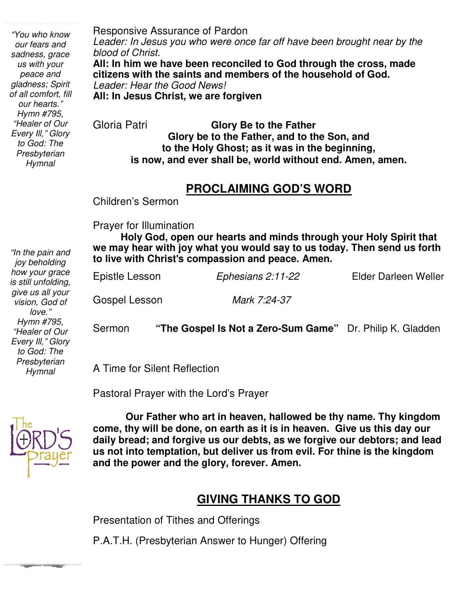*"You who know our fears and sadness, grace us with your peace and gladness; Spirit of all comfort, fill our hearts." Hymn #795, "Healer of Our Every Ill," Glory to God: The Presbyterian Hymnal* 

*"In the pain and joy beholding how your grace is still unfolding, give us all your vision, God of love." Hymn #795, "Healer of Our Every Ill," Glory to God: The Presbyterian Hymnal* 

Responsive Assurance of Pardon *Leader: In Jesus you who were once far off have been brought near by the blood of Christ.* **All: In him we have been reconciled to God through the cross, made citizens with the saints and members of the household of God.**

*Leader: Hear the Good News!* **All: In Jesus Christ, we are forgiven**

Gloria Patri **Glory Be to the Father Glory be to the Father, and to the Son, and to the Holy Ghost; as it was in the beginning, is now, and ever shall be, world without end. Amen, amen.** 

#### **PROCLAIMING GOD'S WORD**

Children's Sermon

Prayer for Illumination

 **we may hear with joy what you would say to us today. Then send us forth Holy God, open our hearts and minds through your Holy Spirit that to live with Christ**'**s compassion and peace. Amen.**

| Sermon         | "The Gospel Is Not a Zero-Sum Game" Dr. Philip K. Gladden |                      |
|----------------|-----------------------------------------------------------|----------------------|
| Gospel Lesson  | Mark 7:24-37                                              |                      |
| Epistle Lesson | Ephesians 2:11-22                                         | Elder Darleen Weller |

A Time for Silent Reflection

Pastoral Prayer with the Lord's Prayer



 **us not into temptation, but deliver us from evil. For thine is the kingdom Our Father who art in heaven, hallowed be thy name. Thy kingdom come, thy will be done, on earth as it is in heaven. Give us this day our daily bread; and forgive us our debts, as we forgive our debtors; and lead and the power and the glory, forever. Amen.**

### **GIVING THANKS TO GOD**

Presentation of Tithes and Offerings

P.A.T.H. (Presbyterian Answer to Hunger) Offering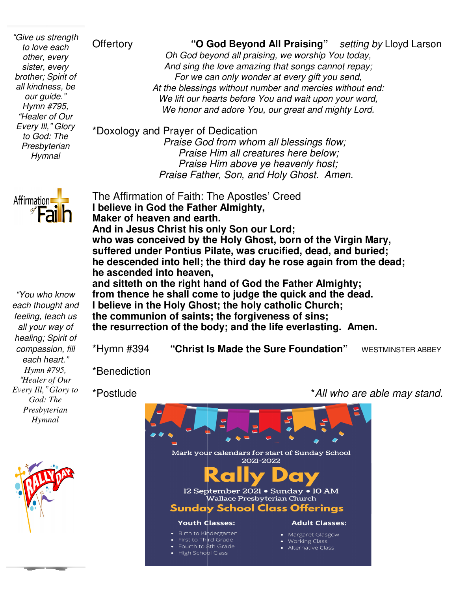*"Give us strength to love each other, every sister, every brother; Spirit of all kindness, be our guide." Hymn #795, "Healer of Our Every Ill," Glory to God: The Presbyterian Hymnal* 

Offertory **"O God Beyond All Praising"** *Oh God beyond all praising, we worship You today today, And sing the love amazing And sing the amazing that songs cannot repay; For we can only wonder at every gift you send, At the blessings without number and mercies without end: We lift our hearts before You and wait upon your word,* We honor and adore You, our great and mighty Lord. *setting by* Lloyd Larson

\*Doxology and Prayer of Dedication

 *Praise God from whom all blessings flow; Praise Him all creatures here below; Praise Him above ye heavenly host; Praise Father, Son, and Holy Ghost. Amen.* 

The Affirmation of Faith: The Apostles' Creed The **I believe in God the Father Almighty, Maker of heaven and earth. And in Jesus Christ his only Son our Lord;** Maker of heaven and earth.<br>And in Jesus Christ his only Son our Lord;<br>who was conceived by the Holy Ghost, born of the Virgin Mary, **suffered under Pontius Pilate, was crucified, dead, and buried; he descended into hell; the third day he rose again from the dead; he ascended into heaven, and sitteth on the right hand of God the Father Almighty;** he ascended into heaven,<br>and sitteth on the right hand of God the Father Almighty;<br>from thence he shall come to judge the quick and the dead. **I believe in the Holy Ghost; the Ghost; the holy catholic Church; the communion of saints; mmunion saints; the forgiveness of sins;** 

the resurrection of the body; and the life everlasting. Amen.

\*Hymn #394 **"Christ Is Made the Sure Foundation Foundation"** WESTMINSTER ABBEY

\*Benediction

\*Postlude

*God: The Presbyterian Hymnal*

*"You who know each thought and feeling, teach us all your way of healing; Spirit of compassion, fill each heart." Hymn #795, "Healer of Our Every Ill," Glory to* 

**Affirmation** 



Mark your calendars for start of Sunday School 2021-2022 12 September 2021 . Sunday . 10 AM Wallace Presbyterian Church **Sunday School Class Offerings Youth Classes: Adult Classes:** • Birth to Kindergarten • Margaret Glasgow First to Third Grade • Working Class Fourth to 8th Grade

• High School Class

\**All who are able may stand .*

• Alternative Class